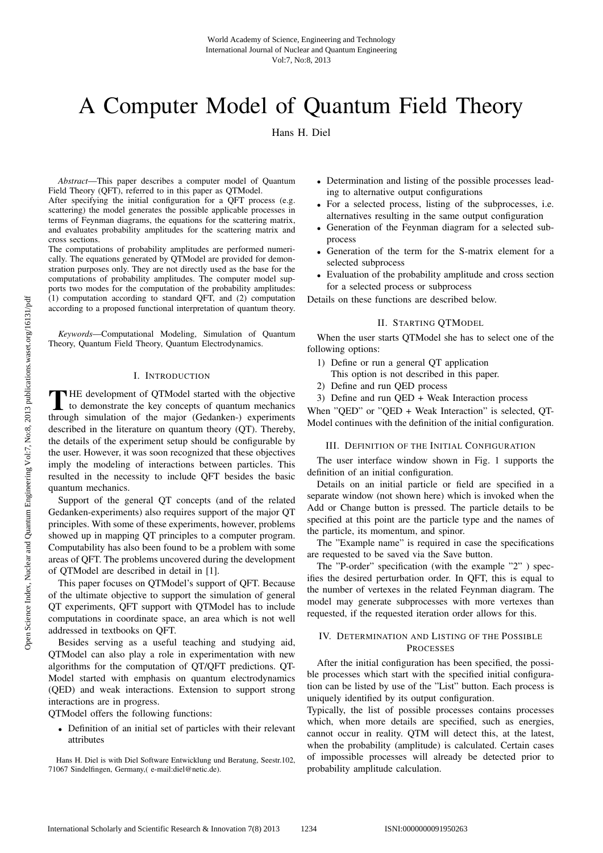# A Computer Model of Quantum Field Theory

Hans H. Diel

*Abstract*—This paper describes a computer model of Quantum Field Theory (QFT), referred to in this paper as QTModel.

After specifying the initial configuration for a QFT process (e.g. scattering) the model generates the possible applicable processes in terms of Feynman diagrams, the equations for the scattering matrix, and evaluates probability amplitudes for the scattering matrix and cross sections.

The computations of probability amplitudes are performed numerically. The equations generated by QTModel are provided for demonstration purposes only. They are not directly used as the base for the computations of probability amplitudes. The computer model supports two modes for the computation of the probability amplitudes: (1) computation according to standard QFT, and (2) computation according to a proposed functional interpretation of quantum theory.

*Keywords*—Computational Modeling, Simulation of Quantum Theory, Quantum Field Theory, Quantum Electrodynamics.

#### I. INTRODUCTION

THE development of QTModel started with the objective<br>to demonstrate the key concepts of quantum mechanics<br>through simulation of the major (Codenkon) experiments through simulation of the major (Gedanken-) experiments described in the literature on quantum theory (QT). Thereby, the details of the experiment setup should be configurable by the user. However, it was soon recognized that these objectives imply the modeling of interactions between particles. This resulted in the necessity to include QFT besides the basic quantum mechanics.

Support of the general QT concepts (and of the related Gedanken-experiments) also requires support of the major QT principles. With some of these experiments, however, problems showed up in mapping QT principles to a computer program. Computability has also been found to be a problem with some areas of QFT. The problems uncovered during the development of QTModel are described in detail in [1].

This paper focuses on QTModel's support of QFT. Because of the ultimate objective to support the simulation of general QT experiments, QFT support with QTModel has to include computations in coordinate space, an area which is not well addressed in textbooks on QFT.

Besides serving as a useful teaching and studying aid, QTModel can also play a role in experimentation with new algorithms for the computation of QT/QFT predictions. QT-Model started with emphasis on quantum electrodynamics (QED) and weak interactions. Extension to support strong interactions are in progress.

QTModel offers the following functions:

• Definition of an initial set of particles with their relevant attributes

Hans H. Diel is with Diel Software Entwicklung und Beratung, Seestr.102, 71067 Sindelfingen, Germany,( e-mail:diel@netic.de).

- Determination and listing of the possible processes leading to alternative output configurations
- For a selected process, listing of the subprocesses, i.e. alternatives resulting in the same output configuration
- Generation of the Feynman diagram for a selected subprocess
- Generation of the term for the S-matrix element for a selected subprocess
- Evaluation of the probability amplitude and cross section for a selected process or subprocess

Details on these functions are described below.

## II. STARTING QTMODEL

When the user starts QTModel she has to select one of the following options:

- 1) Define or run a general QT application
- This option is not described in this paper.
- 2) Define and run QED process
- 3) Define and run QED + Weak Interaction process

When "QED" or "QED + Weak Interaction" is selected, QT-Model continues with the definition of the initial configuration.

#### III. DEFINITION OF THE INITIAL CONFIGURATION

The user interface window shown in Fig. 1 supports the definition of an initial configuration.

Details on an initial particle or field are specified in a separate window (not shown here) which is invoked when the Add or Change button is pressed. The particle details to be specified at this point are the particle type and the names of the particle, its momentum, and spinor.

The "Example name" is required in case the specifications are requested to be saved via the Save button.

The "P-order" specification (with the example "2" ) specifies the desired perturbation order. In QFT, this is equal to the number of vertexes in the related Feynman diagram. The model may generate subprocesses with more vertexes than requested, if the requested iteration order allows for this.

# IV. DETERMINATION AND LISTING OF THE POSSIBLE PROCESSES

After the initial configuration has been specified, the possible processes which start with the specified initial configuration can be listed by use of the "List" button. Each process is uniquely identified by its output configuration.

Typically, the list of possible processes contains processes which, when more details are specified, such as energies, cannot occur in reality. QTM will detect this, at the latest, when the probability (amplitude) is calculated. Certain cases of impossible processes will already be detected prior to probability amplitude calculation.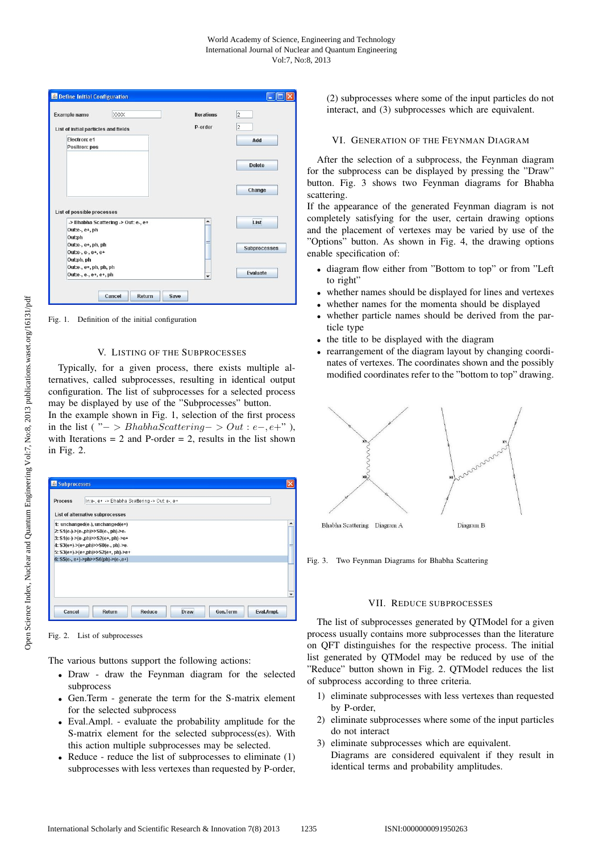|                                      |                                     |         | 2                   |
|--------------------------------------|-------------------------------------|---------|---------------------|
| List of initial particles and fields |                                     | P-order | $\overline{2}$      |
| Electron: e1<br>Positron: pos        |                                     |         | Add                 |
|                                      |                                     |         | <b>Delete</b>       |
|                                      |                                     |         |                     |
|                                      |                                     |         | Change              |
| List of possible processes           |                                     |         |                     |
|                                      | -> Bhabha Scattering -> Out: e-, e+ | ▲       | List                |
| Out:e-, e+, ph                       |                                     |         |                     |
| Out:ph<br>Out:e-, e+, ph, ph         |                                     | ≡       |                     |
| Out:e-, e-, e+, e+                   |                                     |         | <b>Subprocesses</b> |
| Out:ph, ph                           |                                     |         |                     |
| Out:e-, e+, ph, ph, ph               |                                     |         | Evaluate            |

Fig. 1. Definition of the initial configuration

## V. LISTING OF THE SUBPROCESSES

Typically, for a given process, there exists multiple alternatives, called subprocesses, resulting in identical output configuration. The list of subprocesses for a selected process may be displayed by use of the "Subprocesses" button.

In the example shown in Fig. 1, selection of the first process in the list ( $\overline{C}$  > BhabhaScattering − > Out : e−, e+"), with Iterations  $= 2$  and P-order  $= 2$ , results in the list shown in Fig. 2.

| Subprocesses   |                                                                          |            |  |  |  |  |  |
|----------------|--------------------------------------------------------------------------|------------|--|--|--|--|--|
| <b>Process</b> | Inte-, e+ -> Bhabha Scattering -> Out e-, e+                             |            |  |  |  |  |  |
|                | List of alternative subprocesses                                         |            |  |  |  |  |  |
|                | 1: unchanged(e-), unchanged(e+)                                          |            |  |  |  |  |  |
|                | 2: S1(e-)->(e-,ph)>>S0(e-, ph)->e-                                       |            |  |  |  |  |  |
|                | 3: S1(e-)->(e-,ph)>>S2(e+, ph)->e+                                       |            |  |  |  |  |  |
|                | 4: S3(e+)->(e+,ph)>>S0(e-, ph)->e-<br>5: S3(e+)->(e+,ph)>>S2(e+, ph)->e+ |            |  |  |  |  |  |
|                | 6: $S5(e-, e+)$ ->ph>> $S6(ph)$ -> $(e-, e+)$                            |            |  |  |  |  |  |
|                |                                                                          |            |  |  |  |  |  |
|                |                                                                          |            |  |  |  |  |  |
|                |                                                                          |            |  |  |  |  |  |
|                |                                                                          |            |  |  |  |  |  |
|                |                                                                          |            |  |  |  |  |  |
|                |                                                                          |            |  |  |  |  |  |
| Cancel         | <b>Gen.Term</b><br>Return<br>Reduce<br><b>Draw</b>                       | Eval.Ampl. |  |  |  |  |  |

#### Fig. 2. List of subprocesses

The various buttons support the following actions:

- Draw draw the Feynman diagram for the selected subprocess
- Gen.Term generate the term for the S-matrix element for the selected subprocess
- Eval.Ampl. evaluate the probability amplitude for the S-matrix element for the selected subprocess(es). With this action multiple subprocesses may be selected.
- Reduce reduce the list of subprocesses to eliminate (1) subprocesses with less vertexes than requested by P-order,

(2) subprocesses where some of the input particles do not interact, and (3) subprocesses which are equivalent.

#### VI. GENERATION OF THE FEYNMAN DIAGRAM

After the selection of a subprocess, the Feynman diagram for the subprocess can be displayed by pressing the "Draw" button. Fig. 3 shows two Feynman diagrams for Bhabha scattering.

If the appearance of the generated Feynman diagram is not completely satisfying for the user, certain drawing options and the placement of vertexes may be varied by use of the "Options" button. As shown in Fig. 4, the drawing options enable specification of:

- diagram flow either from "Bottom to top" or from "Left to right"
- whether names should be displayed for lines and vertexes
- whether names for the momenta should be displayed
- whether particle names should be derived from the particle type
- the title to be displayed with the diagram
- rearrangement of the diagram layout by changing coordinates of vertexes. The coordinates shown and the possibly modified coordinates refer to the "bottom to top" drawing.



Fig. 3. Two Feynman Diagrams for Bhabha Scattering

## VII. REDUCE SUBPROCESSES

The list of subprocesses generated by QTModel for a given process usually contains more subprocesses than the literature on QFT distinguishes for the respective process. The initial list generated by QTModel may be reduced by use of the "Reduce" button shown in Fig. 2. QTModel reduces the list of subprocess according to three criteria.

- 1) eliminate subprocesses with less vertexes than requested by P-order,
- 2) eliminate subprocesses where some of the input particles do not interact
- 3) eliminate subprocesses which are equivalent. Diagrams are considered equivalent if they result in identical terms and probability amplitudes.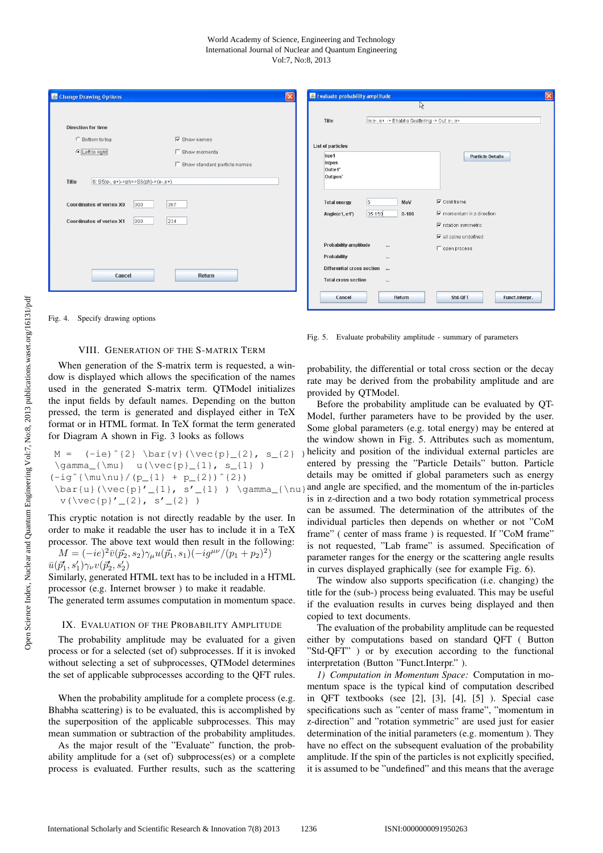#### World Academy of Science, Engineering and Technology International Journal of Nuclear and Quantum Engineering Vol:7, No:8, 2013

| Change Drawing Options                                               |                                                | Evaluate probability amplitude<br>$\vert x \vert$                                        | ß                                                                                                                   |
|----------------------------------------------------------------------|------------------------------------------------|------------------------------------------------------------------------------------------|---------------------------------------------------------------------------------------------------------------------|
| <b>Direction for time</b><br>C Bottom to top                         | $\overline{\mathbf{v}}$ Show names             | In:e-, e+ -> Bhabha Scattering -> Out: e-, e+<br>Title<br><b>List of particles</b>       |                                                                                                                     |
| CLeft to right<br>Title<br>$6: S5(e-, e+)$ ->ph>> $S6(ph)$ ->(e-,e+) | Show momenta<br>□ Show standard particle names | $ln:$ e1<br>In:pos<br>Out:e1'<br>Out:pos'                                                | <b>Particle Details</b>                                                                                             |
| Coordinates of vertex X0<br>300<br>Coordinates of vertex X1<br>300   | 367<br>234                                     | $\sqrt{5}$<br>MeV<br><b>Total energy</b><br>35-150<br>$0 - 180$<br>Angle(e1, e1')        | $\overline{\mathbf{v}}$ CoM frame<br>$\nabla$ momentum in z-direction<br>$\overline{\mathbf{v}}$ rotation symmetric |
|                                                                      |                                                | Probability amplitude<br><br>Probability<br>                                             | $\overline{\mathbf{v}}$ all spins undefined<br>□ open process                                                       |
| Cancel                                                               | Return                                         | Differential cross section<br>$\overline{\phantom{a}}$<br><b>Total cross section</b><br> |                                                                                                                     |
|                                                                      |                                                | Cancel<br>Return                                                                         | Std-OFT<br>Funct.Interpr.                                                                                           |

Fig. 4. Specify drawing options

## VIII. GENERATION OF THE S-MATRIX TERM

When generation of the S-matrix term is requested, a window is displayed which allows the specification of the names used in the generated S-matrix term. QTModel initializes the input fields by default names. Depending on the button pressed, the term is generated and displayed either in TeX format or in HTML format. In TeX format the term generated for Diagram A shown in Fig. 3 looks as follows

```
M =M = (-ie)^{2} \bar{v}(\vec{p}_{1}, s_{2}) \gamma_{\mu} u(\vec{p}_{1}, s_{1})\left(\frac{\nu}{nu} / (p_{1} + p_{2}) \right)(-igˆ{\mu\nu}/(p_{1} + p_{2})ˆ{2})
   \begin{array}{ccc} \n\frac{1}{2} & \frac{1}{2} & \frac{1}{2} & \frac{1}{2} & \frac{1}{2} & \frac{1}{2} & \frac{1}{2} & \frac{1}{2} & \frac{1}{2} & \frac{1}{2} & \frac{1}{2} & \frac{1}{2} & \frac{1}{2} & \frac{1}{2} & \frac{1}{2} & \frac{1}{2} & \frac{1}{2} & \frac{1}{2} & \frac{1}{2} & \frac{1}{2} & \frac{1}{2} & \frac{1}{2} & \frac{1}{2} & \frac{1}{2} & \frac{1}{2} & \frac{1}{2} & \frac{\langle \cdot \rangle = \langle \cdot \rangle ) so \langle \cdot \rangle = \langle \cdot \rangle
```
This cryptic notation is not directly readable by the user. In order to make it readable the user has to include it in a TeX processor. The above text would then result in the following:

 $M = (-ie)^2 \bar{v}(\vec{p}_2, s_2) \gamma_\mu u(\vec{p}_1, s_1) (-ig^{\mu\nu}/(p_1 + p_2)^2)$  $\bar{u}(\vec{p}'_1, s'_1)\gamma_{\nu}v(\vec{p}'_2, s'_2)$ <br>Similarly concreted

Similarly, generated HTML text has to be included in a HTML processor (e.g. Internet browser ) to make it readable.

The generated term assumes computation in momentum space.

## IX. EVALUATION OF THE PROBABILITY AMPLITUDE

The probability amplitude may be evaluated for a given process or for a selected (set of) subprocesses. If it is invoked without selecting a set of subprocesses, QTModel determines the set of applicable subprocesses according to the QFT rules.

When the probability amplitude for a complete process (e.g. Bhabha scattering) is to be evaluated, this is accomplished by the superposition of the applicable subprocesses. This may mean summation or subtraction of the probability amplitudes.

As the major result of the "Evaluate" function, the probability amplitude for a (set of) subprocess(es) or a complete process is evaluated. Further results, such as the scattering

Fig. 5. Evaluate probability amplitude - summary of parameters

probability, the differential or total cross section or the decay rate may be derived from the probability amplitude and are provided by QTModel.

Before the probability amplitude can be evaluated by QT-Model, further parameters have to be provided by the user. Some global parameters (e.g. total energy) may be entered at the window shown in Fig. 5. Attributes such as momentum, helicity and position of the individual external particles are entered by pressing the "Particle Details" button. Particle details may be omitted if global parameters such as energy and angle are specified, and the momentum of the in-particles is in z-direction and a two body rotation symmetrical process can be assumed. The determination of the attributes of the individual particles then depends on whether or not "CoM frame" ( center of mass frame ) is requested. If "CoM frame" is not requested, "Lab frame" is assumed. Specification of parameter ranges for the energy or the scattering angle results in curves displayed graphically (see for example Fig. 6).

The window also supports specification (i.e. changing) the title for the (sub-) process being evaluated. This may be useful if the evaluation results in curves being displayed and then copied to text documents.

The evaluation of the probability amplitude can be requested either by computations based on standard QFT ( Button "Std-QFT" ) or by execution according to the functional interpretation (Button "Funct.Interpr." ).

*1) Computation in Momentum Space:* Computation in momentum space is the typical kind of computation described in QFT textbooks (see [2], [3], [4], [5] ). Special case specifications such as "center of mass frame", "momentum in z-direction" and "rotation symmetric" are used just for easier determination of the initial parameters (e.g. momentum ). They have no effect on the subsequent evaluation of the probability amplitude. If the spin of the particles is not explicitly specified, it is assumed to be "undefined" and this means that the average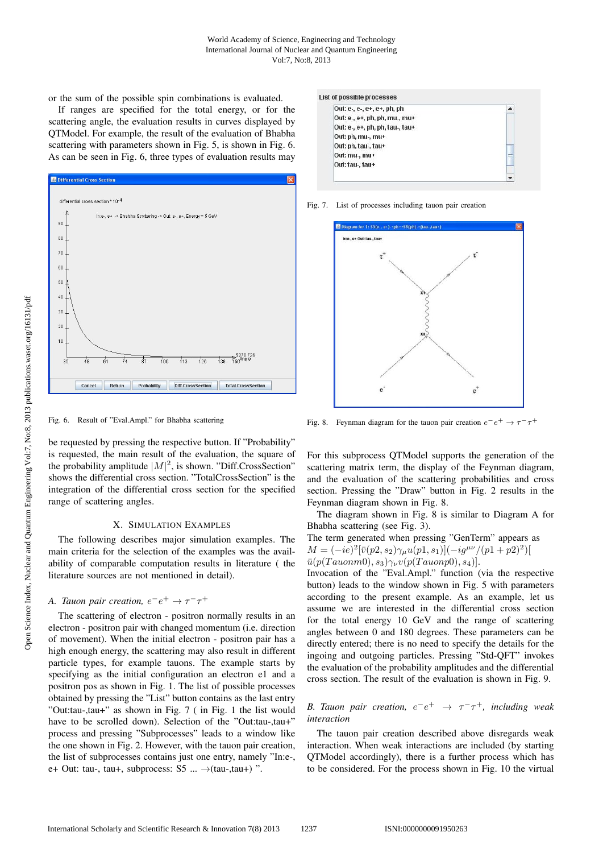or the sum of the possible spin combinations is evaluated.

If ranges are specified for the total energy, or for the scattering angle, the evaluation results in curves displayed by QTModel. For example, the result of the evaluation of Bhabha scattering with parameters shown in Fig. 5, is shown in Fig. 6. As can be seen in Fig. 6, three types of evaluation results may



Fig. 6. Result of "Eval.Ampl." for Bhabha scattering

be requested by pressing the respective button. If "Probability" is requested, the main result of the evaluation, the square of the probability amplitude  $|M|^2$ , is shown. "Diff.CrossSection" shows the differential cross section. "TotalCrossSection" is the integration of the differential cross section for the specified range of scattering angles.

#### X. SIMULATION EXAMPLES

The following describes major simulation examples. The main criteria for the selection of the examples was the availability of comparable computation results in literature ( the literature sources are not mentioned in detail).

# *A. Tauon pair creation,*  $e^-e^+ \rightarrow \tau^- \tau^+$

The scattering of electron - positron normally results in an electron - positron pair with changed momentum (i.e. direction of movement). When the initial electron - positron pair has a high enough energy, the scattering may also result in different particle types, for example tauons. The example starts by specifying as the initial configuration an electron e1 and a positron pos as shown in Fig. 1. The list of possible processes obtained by pressing the "List" button contains as the last entry "Out:tau-,tau+" as shown in Fig. 7 ( in Fig. 1 the list would have to be scrolled down). Selection of the "Out:tau-,tau+" process and pressing "Subprocesses" leads to a window like the one shown in Fig. 2. However, with the tauon pair creation, the list of subprocesses contains just one entry, namely "In:e-, e+ Out: tau-, tau+, subprocess: S5 ...  $\rightarrow$ (tau-,tau+) ".



Fig. 7. List of processes including tauon pair creation



Fig. 8. Feynman diagram for the tauon pair creation  $e^-e^+ \rightarrow \tau^-\tau^+$ 

For this subprocess QTModel supports the generation of the scattering matrix term, the display of the Feynman diagram, and the evaluation of the scattering probabilities and cross section. Pressing the "Draw" button in Fig. 2 results in the Feynman diagram shown in Fig. 8.

The diagram shown in Fig. 8 is similar to Diagram A for Bhabha scattering (see Fig. 3).

The term generated when pressing "GenTerm" appears as  
\n
$$
M = (-ie)^2 [\bar{v}(p2, s_2)\gamma_\mu u(p1, s_1)](-ig^{\mu\nu}/(p1 + p2)^2)]
$$
\n
$$
\bar{u}(p(Tauonm0), s_3)\gamma_\nu v(p(Tauonp0), s_4)].
$$
\nInvocation of the "Eval.Ampl." function (via the respective

button) leads to the window shown in Fig. 5 with parameters according to the present example. As an example, let us assume we are interested in the differential cross section for the total energy 10 GeV and the range of scattering angles between 0 and 180 degrees. These parameters can be directly entered; there is no need to specify the details for the ingoing and outgoing particles. Pressing "Std-QFT" invokes the evaluation of the probability amplitudes and the differential cross section. The result of the evaluation is shown in Fig. 9.

*B. Tauon pair creation,*  $e^-e^+ \rightarrow \tau^- \tau^+$ *, including weak interaction*

The tauon pair creation described above disregards weak interaction. When weak interactions are included (by starting QTModel accordingly), there is a further process which has to be considered. For the process shown in Fig. 10 the virtual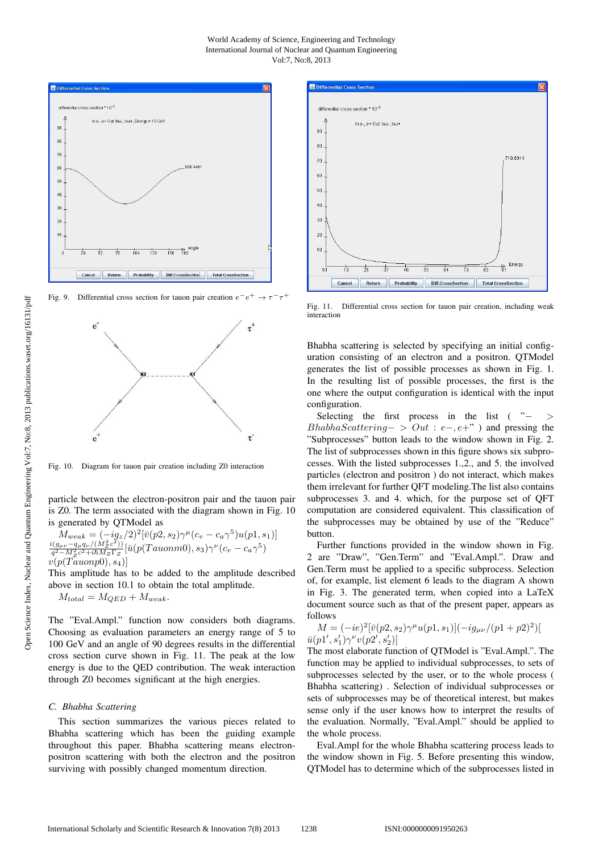#### World Academy of Science, Engineering and Technology International Journal of Nuclear and Quantum Engineering Vol:7, No:8, 2013



Fig. 9. Differential cross section for tauon pair creation  $e^-e^+ \rightarrow \tau^- \tau^+$ 



Fig. 10. Diagram for tauon pair creation including Z0 interaction

particle between the electron-positron pair and the tauon pair is Z0. The term associated with the diagram shown in Fig. 10 is generated by QTModel as

$$
M_{weak} = (-iq_z/2)^2 [\bar{v}(p2, s_2)\gamma^{\mu}(c_v - c_a \gamma^5)u(p1, s_1)]
$$
  

$$
\frac{i(g_{\mu\nu} - q_{\mu}q_{\nu}/(M_Z^2 c^2))}{q^2 - M_Z^2 c^2 + i\hbar M_Z \Gamma_Z} [\bar{u}(p(Tauonm0), s_3)\gamma^{\nu}(c_v - c_a \gamma^5)
$$
  

$$
v(p(Tauonp0), s_4)]
$$

This amplitude has to be added to the amplitude described above in section 10.1 to obtain the total amplitude.<br> $M_{total} = M_{OED} + M_{weak}$ .

$$
M_{total} = M_{QED} + M_{weak}.
$$

The "Eval.Ampl." function now considers both diagrams. Choosing as evaluation parameters an energy range of 5 to 100 GeV and an angle of 90 degrees results in the differential cross section curve shown in Fig. 11. The peak at the low energy is due to the QED contribution. The weak interaction through Z0 becomes significant at the high energies.

#### *C. Bhabha Scattering*

This section summarizes the various pieces related to Bhabha scattering which has been the guiding example throughout this paper. Bhabha scattering means electronpositron scattering with both the electron and the positron surviving with possibly changed momentum direction.



Fig. 11. Differential cross section for tauon pair creation, including weak interaction

Bhabha scattering is selected by specifying an initial configuration consisting of an electron and a positron. QTModel generates the list of possible processes as shown in Fig. 1. In the resulting list of possible processes, the first is the one where the output configuration is identical with the input configuration.

Selecting the first process in the list ( $"$  - > BhabhaScattering− > Out : e−, e+") and pressing the "Subprocesses" button leads to the window shown in Fig. 2. The list of subprocesses shown in this figure shows six subprocesses. With the listed subprocesses 1.,2., and 5. the involved particles (electron and positron ) do not interact, which makes them irrelevant for further QFT modeling.The list also contains subprocesses 3. and 4. which, for the purpose set of QFT computation are considered equivalent. This classification of the subprocesses may be obtained by use of the "Reduce" button.

Further functions provided in the window shown in Fig. 2 are "Draw", "Gen.Term" and "Eval.Ampl.". Draw and Gen.Term must be applied to a specific subprocess. Selection of, for example, list element 6 leads to the diagram A shown in Fig. 3. The generated term, when copied into a LaTeX document source such as that of the present paper, appears as follows

$$
M = (-ie)^{2} [\bar{v}(p2, s_2)\gamma^{\mu} u(p1, s_1)](-ig_{\mu\nu}/(p1 + p2)^{2})[\bar{u}(p1', s'_1)\gamma^{\nu} v(p2', s'_2)]
$$

The most elaborate function of QTModel is "Eval.Ampl.". The function may be applied to individual subprocesses, to sets of subprocesses selected by the user, or to the whole process ( Bhabha scattering) . Selection of individual subprocesses or sets of subprocesses may be of theoretical interest, but makes sense only if the user knows how to interpret the results of the evaluation. Normally, "Eval.Ampl." should be applied to the whole process.

Eval.Ampl for the whole Bhabha scattering process leads to the window shown in Fig. 5. Before presenting this window, QTModel has to determine which of the subprocesses listed in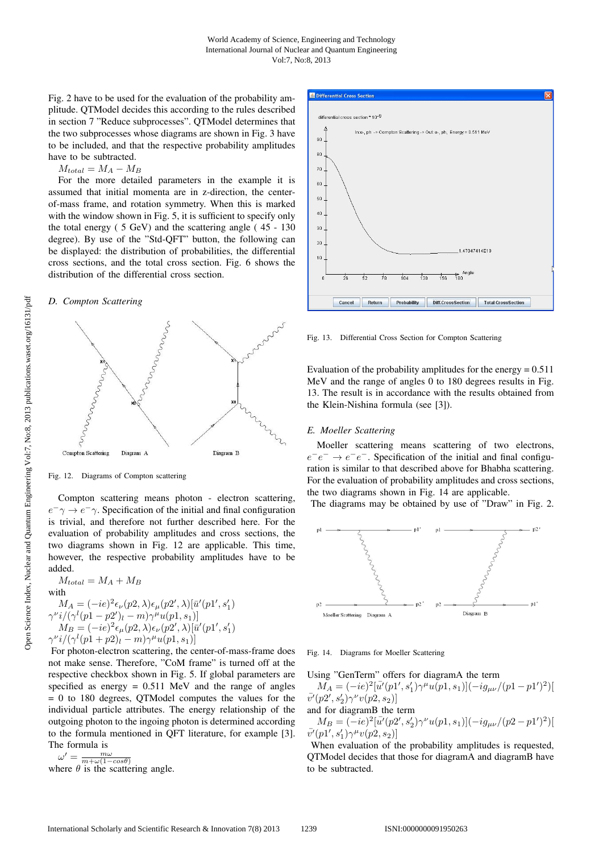Fig. 2 have to be used for the evaluation of the probability amplitude. QTModel decides this according to the rules described in section 7 "Reduce subprocesses". QTModel determines that the two subprocesses whose diagrams are shown in Fig. 3 have to be included, and that the respective probability amplitudes have to be subtracted.

 $M_{total} = M_A - M_B$ 

For the more detailed parameters in the example it is assumed that initial momenta are in z-direction, the centerof-mass frame, and rotation symmetry. When this is marked with the window shown in Fig. 5, it is sufficient to specify only the total energy ( 5 GeV) and the scattering angle ( 45 - 130 degree). By use of the "Std-QFT" button, the following can be displayed: the distribution of probabilities, the differential cross sections, and the total cross section. Fig. 6 shows the distribution of the differential cross section.

#### *D. Compton Scattering*



Fig. 12. Diagrams of Compton scattering

Compton scattering means photon - electron scattering,  $e^ \gamma \rightarrow e^ \gamma$ . Specification of the initial and final configuration is trivial, and therefore not further described here. For the evaluation of probability amplitudes and cross sections, the two diagrams shown in Fig. 12 are applicable. This time, however, the respective probability amplitudes have to be added.

 $M_{total} = M_A + M_B$ with  $M_A = (-ie)^2 \epsilon_\nu (p2, \lambda) \epsilon_\mu (p2', \lambda) [\bar{u}'(p1', s_1')$  $\gamma^{\nu}i/(\gamma^{l}(p1-p2')_l-m)\gamma^{\mu}u(p1,s_1)]$  $M_B = (-ie)^2 \epsilon_\mu(p_2, \lambda) \epsilon_\nu(p_2', \lambda) [\bar{u}'(p_1', s_1')$  $\gamma^{\nu}i/(\gamma^{\ell}(p1+p2)l-m)\gamma^{\mu}u(p1,s_1)]$ <br>For photon electron esottoring the set

For photon-electron scattering, the center-of-mass-frame does not make sense. Therefore, "CoM frame" is turned off at the respective checkbox shown in Fig. 5. If global parameters are specified as energy  $= 0.511$  MeV and the range of angles = 0 to 180 degrees, QTModel computes the values for the individual particle attributes. The energy relationship of the outgoing photon to the ingoing photon is determined according to the formula mentioned in QFT literature, for example [3]. The formula is

 $\omega' = \frac{m\omega}{m + \omega(1 - cos\theta)}$ <br>where  $\theta$  is the scattering angle.



Fig. 13. Differential Cross Section for Compton Scattering

Evaluation of the probability amplitudes for the energy  $= 0.511$ MeV and the range of angles 0 to 180 degrees results in Fig. 13. The result is in accordance with the results obtained from the Klein-Nishina formula (see [3]).

#### *E. Moeller Scattering*

Moeller scattering means scattering of two electrons,  $e^-e^- \rightarrow e^-e^-$ . Specification of the initial and final configuration is similar to that described above for Bhabha scattering. For the evaluation of probability amplitudes and cross sections, the two diagrams shown in Fig. 14 are applicable.

The diagrams may be obtained by use of "Draw" in Fig. 2.



Fig. 14. Diagrams for Moeller Scattering

Using "GenTerm" offers for diagramA the term

 $\tilde{M}_A = (-ie)^2 [\bar{u'}(p_1', s'_1) \gamma^{\mu} u(p_1, s_1)](-ig_{\mu\nu}/(p_1 - p_1')^2)]$  $\bar{v'}(p2',s_2')\gamma^\nu v(p2,s_2)]$ and for diagramB the term

 $M_B = (-ie)^2 [\bar{u'}(p2', s_2')\gamma^{\nu}u(p1, s_1)](-ig_{\mu\nu}/(p2 - p1')^2)]$  $\bar{v'}(p1',s_1')\gamma^\mu v(p2,s_2)]$ 

When evaluation of the probability amplitudes is requested, QTModel decides that those for diagramA and diagramB have to be subtracted.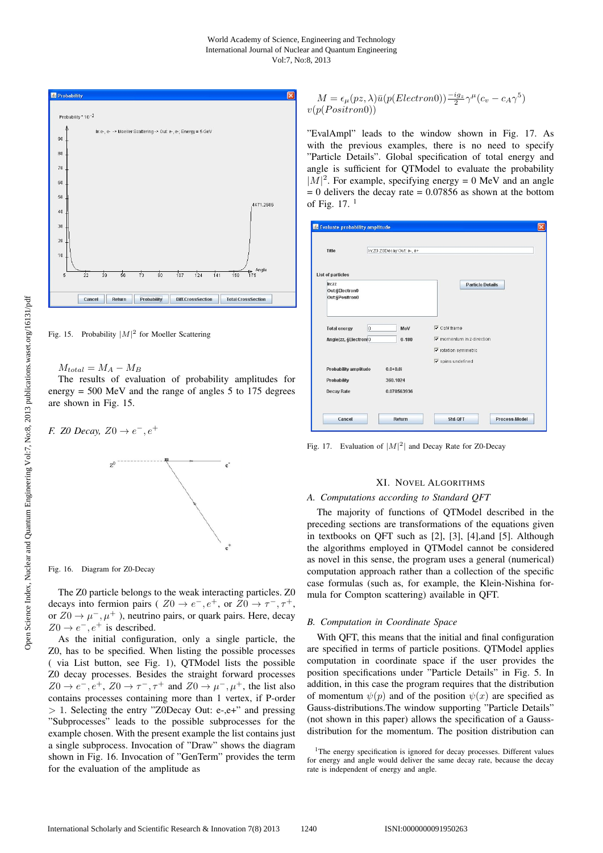#### World Academy of Science, Engineering and Technology International Journal of Nuclear and Quantum Engineering Vol:7, No:8, 2013



Fig. 15. Probability  $|M|^2$  for Moeller Scattering

 $M_{total} = M_A - M_B$ 

The results of evaluation of probability amplitudes for energy = 500 MeV and the range of angles 5 to 175 degrees are shown in Fig. 15.

*F. Z0 Decay,*  $Z0 \to e^{-}$ ,  $e^{+}$ 



Fig. 16. Diagram for Z0-Decay

The Z0 particle belongs to the weak interacting particles. Z0 decays into fermion pairs (  $Z0 \rightarrow e^-$ ,  $e^+$ , or  $Z0 \rightarrow \tau^-$ ,  $\tau^+$ , or  $Z_0 \to \mu^-$ ,  $\mu^+$ ), neutrino pairs, or quark pairs. Here, decay  $Z0 \rightarrow e^-$ ,  $e^+$  is described.

As the initial configuration, only a single particle, the Z0, has to be specified. When listing the possible processes ( via List button, see Fig. 1), QTModel lists the possible Z0 decay processes. Besides the straight forward processes  $Z0 \rightarrow e^-, e^+, Z0 \rightarrow \tau^-, \tau^+$  and  $Z0 \rightarrow \mu^-, \mu^+,$  the list also contains processes containing more than 1 vertex, if P-order  $> 1$ . Selecting the entry "Z0Decay Out: e-,e+" and pressing "Subprocesses" leads to the possible subprocesses for the example chosen. With the present example the list contains just a single subprocess. Invocation of "Draw" shows the diagram shown in Fig. 16. Invocation of "GenTerm" provides the term for the evaluation of the amplitude as

$$
M = \epsilon_{\mu}(pz, \lambda)\bar{u}(p(Electron0))\frac{-ig_z}{2}\gamma^{\mu}(c_v - c_A\gamma^5)
$$
  

$$
v(p(Positron0))
$$

"EvalAmpl" leads to the window shown in Fig. 17. As with the previous examples, there is no need to specify "Particle Details". Global specification of total energy and angle is sufficient for QTModel to evaluate the probability  $|M|^2$ . For example, specifying energy = 0 MeV and an angle  $= 0$  delivers the decay rate  $= 0.07856$  as shown at the bottom of Fig.  $17<sup>1</sup>$ 

| Title<br>In:Z0 Z0Decay Out: e-, e+    |                                         |
|---------------------------------------|-----------------------------------------|
|                                       |                                         |
|                                       |                                         |
| <b>List of particles</b>              |                                         |
| In:zz<br>Out:§Electron0               | <b>Particle Details</b>                 |
| Out:§Positron0                        |                                         |
|                                       |                                         |
|                                       |                                         |
| lo<br><b>Total energy</b><br>MeV      | $\nabla$ CoM frame                      |
| Angle(zz, §Electron(0<br>0.180        | $\nabla$ momentum in z-direction        |
|                                       | $\nabla$ rotation symmetric             |
|                                       | $\overline{\mathbf{v}}$ spins undefined |
| Probability amplitude<br>$0.0 + 0.01$ |                                         |
| Probability<br>360.1024               |                                         |
| <b>Decay Rate</b><br>0.078563936      |                                         |
|                                       |                                         |

Fig. 17. Evaluation of  $|M|^2$  and Decay Rate for Z0-Decay

## XI. NOVEL ALGORITHMS

## *A. Computations according to Standard QFT*

The majority of functions of QTModel described in the preceding sections are transformations of the equations given in textbooks on QFT such as [2], [3], [4],and [5]. Although the algorithms employed in QTModel cannot be considered as novel in this sense, the program uses a general (numerical) computation approach rather than a collection of the specific case formulas (such as, for example, the Klein-Nishina formula for Compton scattering) available in QFT.

#### *B. Computation in Coordinate Space*

With QFT, this means that the initial and final configuration are specified in terms of particle positions. QTModel applies computation in coordinate space if the user provides the position specifications under "Particle Details" in Fig. 5. In addition, in this case the program requires that the distribution of momentum  $\psi(p)$  and of the position  $\psi(x)$  are specified as Gauss-distributions.The window supporting "Particle Details" (not shown in this paper) allows the specification of a Gaussdistribution for the momentum. The position distribution can

<sup>&</sup>lt;sup>1</sup>The energy specification is ignored for decay processes. Different values for energy and angle would deliver the same decay rate, because the decay rate is independent of energy and angle.